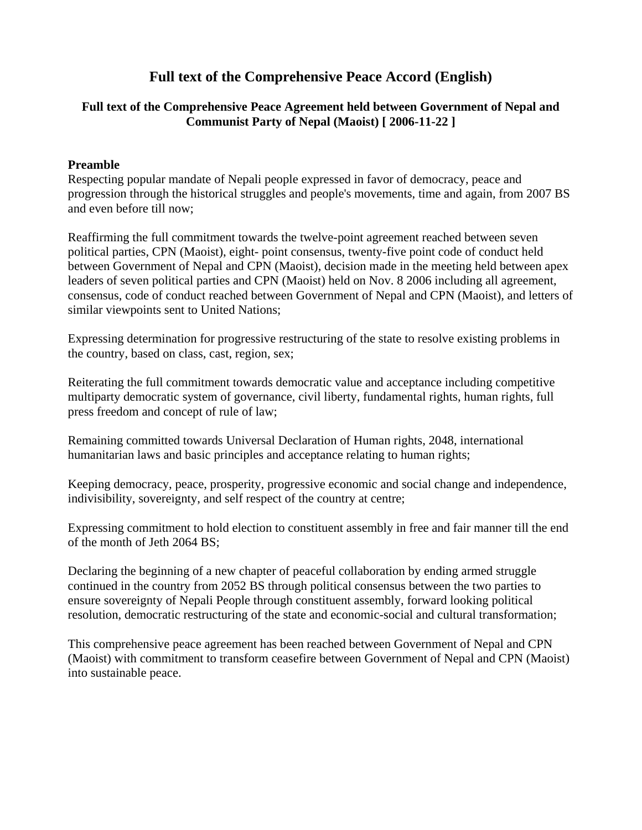# **Full text of the Comprehensive Peace Accord (English)**

### **Full text of the Comprehensive Peace Agreement held between Government of Nepal and Communist Party of Nepal (Maoist) [ 2006-11-22 ]**

#### **Preamble**

Respecting popular mandate of Nepali people expressed in favor of democracy, peace and progression through the historical struggles and people's movements, time and again, from 2007 BS and even before till now;

Reaffirming the full commitment towards the twelve-point agreement reached between seven political parties, CPN (Maoist), eight- point consensus, twenty-five point code of conduct held between Government of Nepal and CPN (Maoist), decision made in the meeting held between apex leaders of seven political parties and CPN (Maoist) held on Nov. 8 2006 including all agreement, consensus, code of conduct reached between Government of Nepal and CPN (Maoist), and letters of similar viewpoints sent to United Nations;

Expressing determination for progressive restructuring of the state to resolve existing problems in the country, based on class, cast, region, sex;

Reiterating the full commitment towards democratic value and acceptance including competitive multiparty democratic system of governance, civil liberty, fundamental rights, human rights, full press freedom and concept of rule of law;

Remaining committed towards Universal Declaration of Human rights, 2048, international humanitarian laws and basic principles and acceptance relating to human rights;

Keeping democracy, peace, prosperity, progressive economic and social change and independence, indivisibility, sovereignty, and self respect of the country at centre;

Expressing commitment to hold election to constituent assembly in free and fair manner till the end of the month of Jeth 2064 BS;

Declaring the beginning of a new chapter of peaceful collaboration by ending armed struggle continued in the country from 2052 BS through political consensus between the two parties to ensure sovereignty of Nepali People through constituent assembly, forward looking political resolution, democratic restructuring of the state and economic-social and cultural transformation;

This comprehensive peace agreement has been reached between Government of Nepal and CPN (Maoist) with commitment to transform ceasefire between Government of Nepal and CPN (Maoist) into sustainable peace.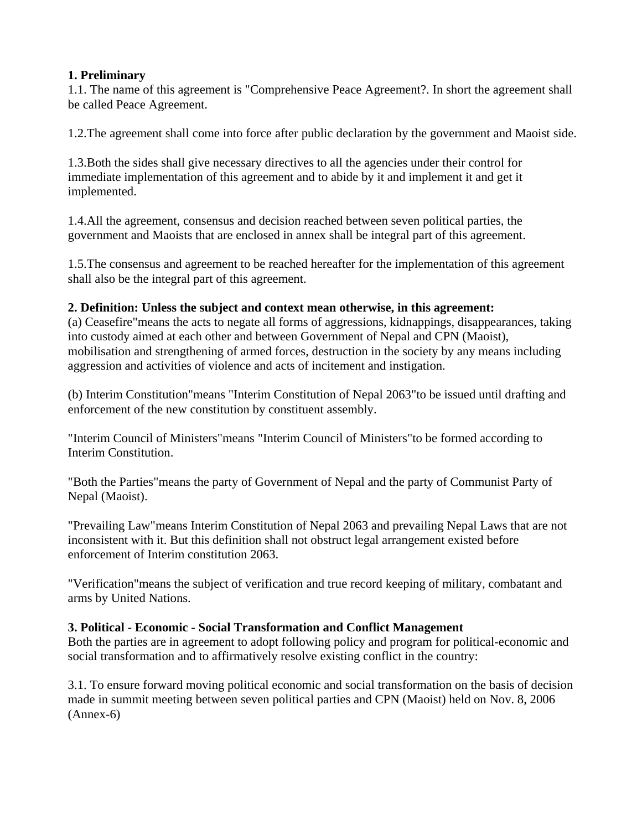### **1. Preliminary**

1.1. The name of this agreement is "Comprehensive Peace Agreement?. In short the agreement shall be called Peace Agreement.

1.2.The agreement shall come into force after public declaration by the government and Maoist side.

1.3.Both the sides shall give necessary directives to all the agencies under their control for immediate implementation of this agreement and to abide by it and implement it and get it implemented.

1.4.All the agreement, consensus and decision reached between seven political parties, the government and Maoists that are enclosed in annex shall be integral part of this agreement.

1.5.The consensus and agreement to be reached hereafter for the implementation of this agreement shall also be the integral part of this agreement.

### **2. Definition: Unless the subject and context mean otherwise, in this agreement:**

(a) Ceasefire"means the acts to negate all forms of aggressions, kidnappings, disappearances, taking into custody aimed at each other and between Government of Nepal and CPN (Maoist), mobilisation and strengthening of armed forces, destruction in the society by any means including aggression and activities of violence and acts of incitement and instigation.

(b) Interim Constitution"means "Interim Constitution of Nepal 2063"to be issued until drafting and enforcement of the new constitution by constituent assembly.

"Interim Council of Ministers"means "Interim Council of Ministers"to be formed according to Interim Constitution.

"Both the Parties"means the party of Government of Nepal and the party of Communist Party of Nepal (Maoist).

"Prevailing Law"means Interim Constitution of Nepal 2063 and prevailing Nepal Laws that are not inconsistent with it. But this definition shall not obstruct legal arrangement existed before enforcement of Interim constitution 2063.

"Verification"means the subject of verification and true record keeping of military, combatant and arms by United Nations.

# **3. Political - Economic - Social Transformation and Conflict Management**

Both the parties are in agreement to adopt following policy and program for political-economic and social transformation and to affirmatively resolve existing conflict in the country:

3.1. To ensure forward moving political economic and social transformation on the basis of decision made in summit meeting between seven political parties and CPN (Maoist) held on Nov. 8, 2006 (Annex-6)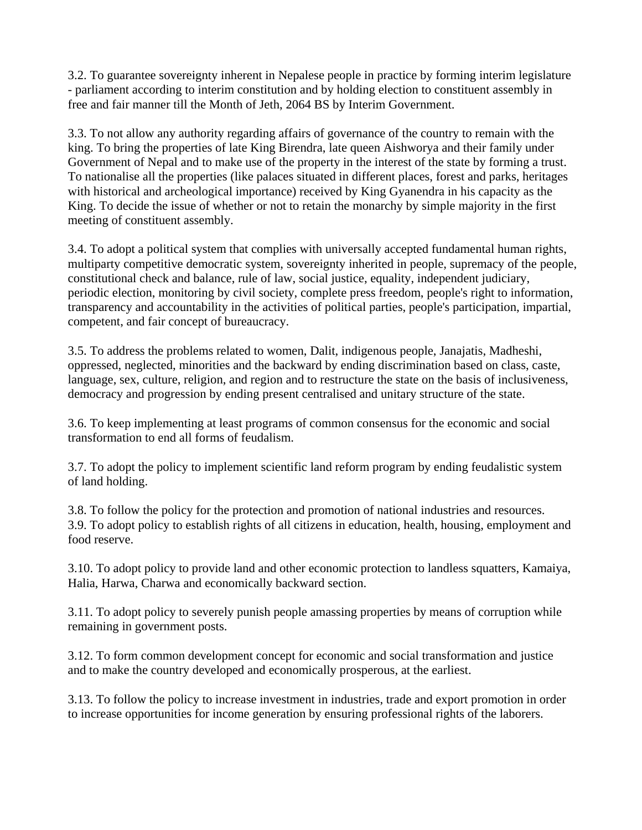3.2. To guarantee sovereignty inherent in Nepalese people in practice by forming interim legislature - parliament according to interim constitution and by holding election to constituent assembly in free and fair manner till the Month of Jeth, 2064 BS by Interim Government.

3.3. To not allow any authority regarding affairs of governance of the country to remain with the king. To bring the properties of late King Birendra, late queen Aishworya and their family under Government of Nepal and to make use of the property in the interest of the state by forming a trust. To nationalise all the properties (like palaces situated in different places, forest and parks, heritages with historical and archeological importance) received by King Gyanendra in his capacity as the King. To decide the issue of whether or not to retain the monarchy by simple majority in the first meeting of constituent assembly.

3.4. To adopt a political system that complies with universally accepted fundamental human rights, multiparty competitive democratic system, sovereignty inherited in people, supremacy of the people, constitutional check and balance, rule of law, social justice, equality, independent judiciary, periodic election, monitoring by civil society, complete press freedom, people's right to information, transparency and accountability in the activities of political parties, people's participation, impartial, competent, and fair concept of bureaucracy.

3.5. To address the problems related to women, Dalit, indigenous people, Janajatis, Madheshi, oppressed, neglected, minorities and the backward by ending discrimination based on class, caste, language, sex, culture, religion, and region and to restructure the state on the basis of inclusiveness, democracy and progression by ending present centralised and unitary structure of the state.

3.6. To keep implementing at least programs of common consensus for the economic and social transformation to end all forms of feudalism.

3.7. To adopt the policy to implement scientific land reform program by ending feudalistic system of land holding.

3.8. To follow the policy for the protection and promotion of national industries and resources. 3.9. To adopt policy to establish rights of all citizens in education, health, housing, employment and food reserve.

3.10. To adopt policy to provide land and other economic protection to landless squatters, Kamaiya, Halia, Harwa, Charwa and economically backward section.

3.11. To adopt policy to severely punish people amassing properties by means of corruption while remaining in government posts.

3.12. To form common development concept for economic and social transformation and justice and to make the country developed and economically prosperous, at the earliest.

3.13. To follow the policy to increase investment in industries, trade and export promotion in order to increase opportunities for income generation by ensuring professional rights of the laborers.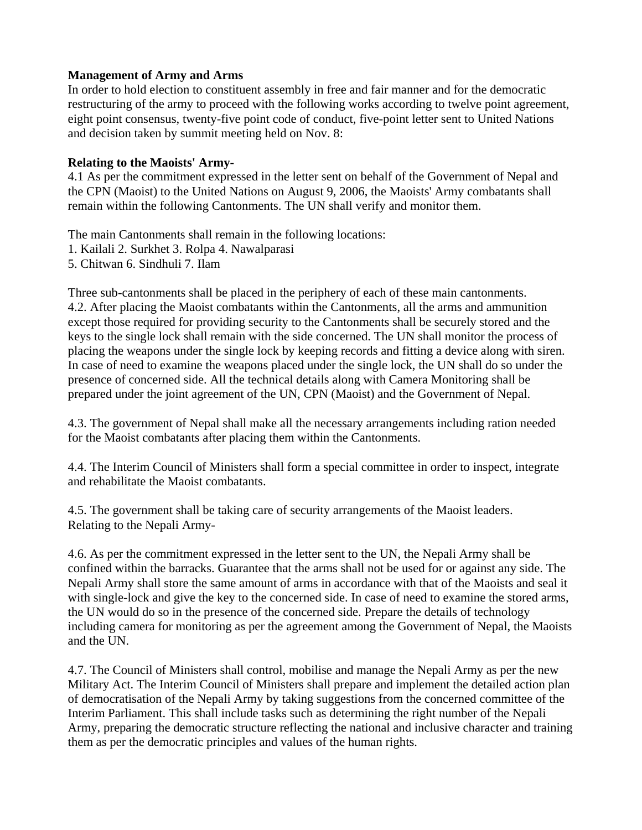#### **Management of Army and Arms**

In order to hold election to constituent assembly in free and fair manner and for the democratic restructuring of the army to proceed with the following works according to twelve point agreement, eight point consensus, twenty-five point code of conduct, five-point letter sent to United Nations and decision taken by summit meeting held on Nov. 8:

#### **Relating to the Maoists' Army-**

4.1 As per the commitment expressed in the letter sent on behalf of the Government of Nepal and the CPN (Maoist) to the United Nations on August 9, 2006, the Maoists' Army combatants shall remain within the following Cantonments. The UN shall verify and monitor them.

The main Cantonments shall remain in the following locations:

1. Kailali 2. Surkhet 3. Rolpa 4. Nawalparasi

5. Chitwan 6. Sindhuli 7. Ilam

Three sub-cantonments shall be placed in the periphery of each of these main cantonments. 4.2. After placing the Maoist combatants within the Cantonments, all the arms and ammunition except those required for providing security to the Cantonments shall be securely stored and the keys to the single lock shall remain with the side concerned. The UN shall monitor the process of placing the weapons under the single lock by keeping records and fitting a device along with siren. In case of need to examine the weapons placed under the single lock, the UN shall do so under the presence of concerned side. All the technical details along with Camera Monitoring shall be prepared under the joint agreement of the UN, CPN (Maoist) and the Government of Nepal.

4.3. The government of Nepal shall make all the necessary arrangements including ration needed for the Maoist combatants after placing them within the Cantonments.

4.4. The Interim Council of Ministers shall form a special committee in order to inspect, integrate and rehabilitate the Maoist combatants.

4.5. The government shall be taking care of security arrangements of the Maoist leaders. Relating to the Nepali Army-

4.6. As per the commitment expressed in the letter sent to the UN, the Nepali Army shall be confined within the barracks. Guarantee that the arms shall not be used for or against any side. The Nepali Army shall store the same amount of arms in accordance with that of the Maoists and seal it with single-lock and give the key to the concerned side. In case of need to examine the stored arms, the UN would do so in the presence of the concerned side. Prepare the details of technology including camera for monitoring as per the agreement among the Government of Nepal, the Maoists and the UN.

4.7. The Council of Ministers shall control, mobilise and manage the Nepali Army as per the new Military Act. The Interim Council of Ministers shall prepare and implement the detailed action plan of democratisation of the Nepali Army by taking suggestions from the concerned committee of the Interim Parliament. This shall include tasks such as determining the right number of the Nepali Army, preparing the democratic structure reflecting the national and inclusive character and training them as per the democratic principles and values of the human rights.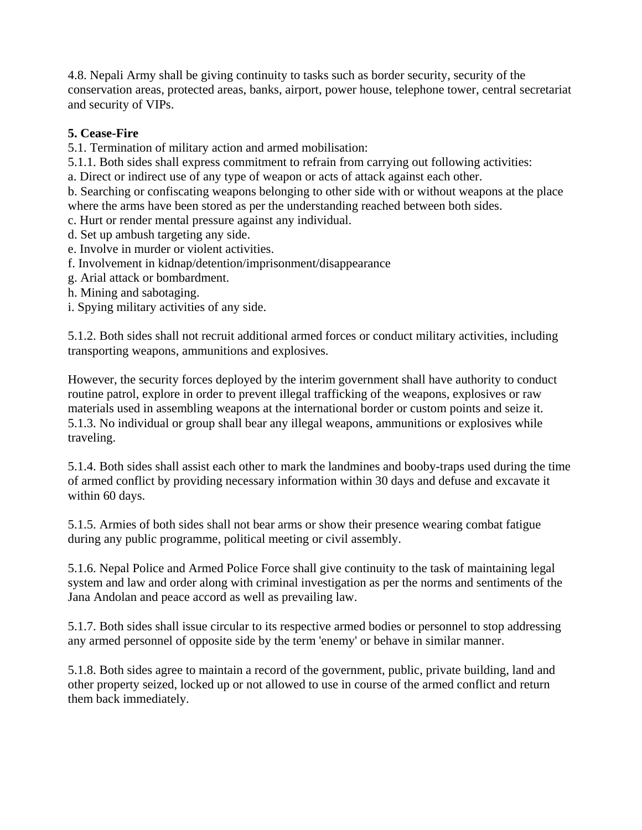4.8. Nepali Army shall be giving continuity to tasks such as border security, security of the conservation areas, protected areas, banks, airport, power house, telephone tower, central secretariat and security of VIPs.

# **5. Cease-Fire**

5.1. Termination of military action and armed mobilisation:

5.1.1. Both sides shall express commitment to refrain from carrying out following activities:

a. Direct or indirect use of any type of weapon or acts of attack against each other.

b. Searching or confiscating weapons belonging to other side with or without weapons at the place where the arms have been stored as per the understanding reached between both sides.

c. Hurt or render mental pressure against any individual.

- d. Set up ambush targeting any side.
- e. Involve in murder or violent activities.
- f. Involvement in kidnap/detention/imprisonment/disappearance
- g. Arial attack or bombardment.
- h. Mining and sabotaging.

i. Spying military activities of any side.

5.1.2. Both sides shall not recruit additional armed forces or conduct military activities, including transporting weapons, ammunitions and explosives.

However, the security forces deployed by the interim government shall have authority to conduct routine patrol, explore in order to prevent illegal trafficking of the weapons, explosives or raw materials used in assembling weapons at the international border or custom points and seize it. 5.1.3. No individual or group shall bear any illegal weapons, ammunitions or explosives while traveling.

5.1.4. Both sides shall assist each other to mark the landmines and booby-traps used during the time of armed conflict by providing necessary information within 30 days and defuse and excavate it within 60 days.

5.1.5. Armies of both sides shall not bear arms or show their presence wearing combat fatigue during any public programme, political meeting or civil assembly.

5.1.6. Nepal Police and Armed Police Force shall give continuity to the task of maintaining legal system and law and order along with criminal investigation as per the norms and sentiments of the Jana Andolan and peace accord as well as prevailing law.

5.1.7. Both sides shall issue circular to its respective armed bodies or personnel to stop addressing any armed personnel of opposite side by the term 'enemy' or behave in similar manner.

5.1.8. Both sides agree to maintain a record of the government, public, private building, land and other property seized, locked up or not allowed to use in course of the armed conflict and return them back immediately.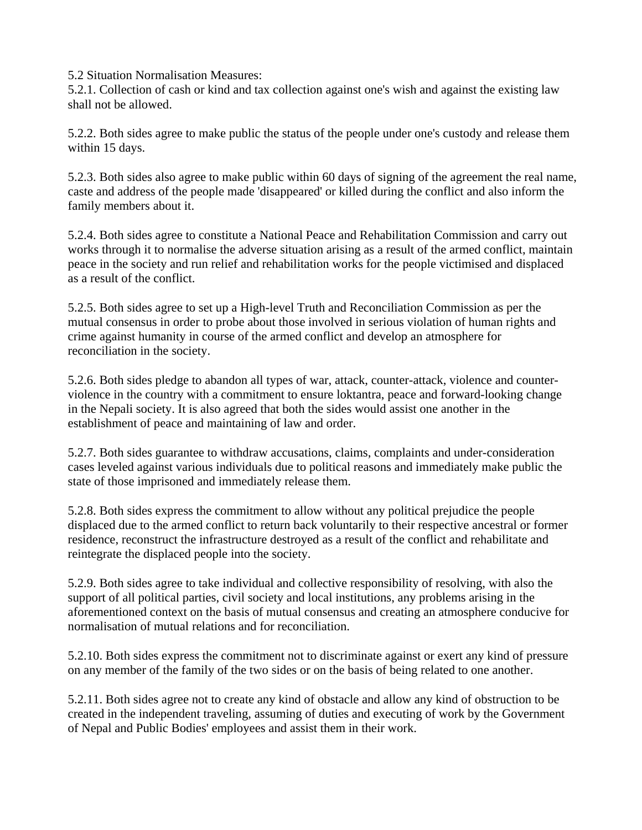5.2 Situation Normalisation Measures:

5.2.1. Collection of cash or kind and tax collection against one's wish and against the existing law shall not be allowed.

5.2.2. Both sides agree to make public the status of the people under one's custody and release them within 15 days.

5.2.3. Both sides also agree to make public within 60 days of signing of the agreement the real name, caste and address of the people made 'disappeared' or killed during the conflict and also inform the family members about it.

5.2.4. Both sides agree to constitute a National Peace and Rehabilitation Commission and carry out works through it to normalise the adverse situation arising as a result of the armed conflict, maintain peace in the society and run relief and rehabilitation works for the people victimised and displaced as a result of the conflict.

5.2.5. Both sides agree to set up a High-level Truth and Reconciliation Commission as per the mutual consensus in order to probe about those involved in serious violation of human rights and crime against humanity in course of the armed conflict and develop an atmosphere for reconciliation in the society.

5.2.6. Both sides pledge to abandon all types of war, attack, counter-attack, violence and counterviolence in the country with a commitment to ensure loktantra, peace and forward-looking change in the Nepali society. It is also agreed that both the sides would assist one another in the establishment of peace and maintaining of law and order.

5.2.7. Both sides guarantee to withdraw accusations, claims, complaints and under-consideration cases leveled against various individuals due to political reasons and immediately make public the state of those imprisoned and immediately release them.

5.2.8. Both sides express the commitment to allow without any political prejudice the people displaced due to the armed conflict to return back voluntarily to their respective ancestral or former residence, reconstruct the infrastructure destroyed as a result of the conflict and rehabilitate and reintegrate the displaced people into the society.

5.2.9. Both sides agree to take individual and collective responsibility of resolving, with also the support of all political parties, civil society and local institutions, any problems arising in the aforementioned context on the basis of mutual consensus and creating an atmosphere conducive for normalisation of mutual relations and for reconciliation.

5.2.10. Both sides express the commitment not to discriminate against or exert any kind of pressure on any member of the family of the two sides or on the basis of being related to one another.

5.2.11. Both sides agree not to create any kind of obstacle and allow any kind of obstruction to be created in the independent traveling, assuming of duties and executing of work by the Government of Nepal and Public Bodies' employees and assist them in their work.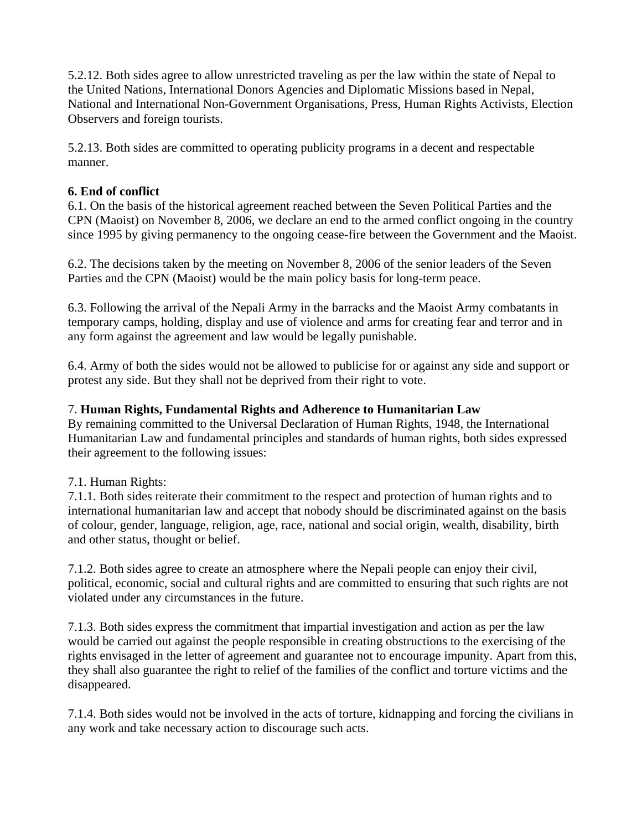5.2.12. Both sides agree to allow unrestricted traveling as per the law within the state of Nepal to the United Nations, International Donors Agencies and Diplomatic Missions based in Nepal, National and International Non-Government Organisations, Press, Human Rights Activists, Election Observers and foreign tourists.

5.2.13. Both sides are committed to operating publicity programs in a decent and respectable manner.

# **6. End of conflict**

6.1. On the basis of the historical agreement reached between the Seven Political Parties and the CPN (Maoist) on November 8, 2006, we declare an end to the armed conflict ongoing in the country since 1995 by giving permanency to the ongoing cease-fire between the Government and the Maoist.

6.2. The decisions taken by the meeting on November 8, 2006 of the senior leaders of the Seven Parties and the CPN (Maoist) would be the main policy basis for long-term peace.

6.3. Following the arrival of the Nepali Army in the barracks and the Maoist Army combatants in temporary camps, holding, display and use of violence and arms for creating fear and terror and in any form against the agreement and law would be legally punishable.

6.4. Army of both the sides would not be allowed to publicise for or against any side and support or protest any side. But they shall not be deprived from their right to vote.

## 7. **Human Rights, Fundamental Rights and Adherence to Humanitarian Law**

By remaining committed to the Universal Declaration of Human Rights, 1948, the International Humanitarian Law and fundamental principles and standards of human rights, both sides expressed their agreement to the following issues:

# 7.1. Human Rights:

7.1.1. Both sides reiterate their commitment to the respect and protection of human rights and to international humanitarian law and accept that nobody should be discriminated against on the basis of colour, gender, language, religion, age, race, national and social origin, wealth, disability, birth and other status, thought or belief.

7.1.2. Both sides agree to create an atmosphere where the Nepali people can enjoy their civil, political, economic, social and cultural rights and are committed to ensuring that such rights are not violated under any circumstances in the future.

7.1.3. Both sides express the commitment that impartial investigation and action as per the law would be carried out against the people responsible in creating obstructions to the exercising of the rights envisaged in the letter of agreement and guarantee not to encourage impunity. Apart from this, they shall also guarantee the right to relief of the families of the conflict and torture victims and the disappeared.

7.1.4. Both sides would not be involved in the acts of torture, kidnapping and forcing the civilians in any work and take necessary action to discourage such acts.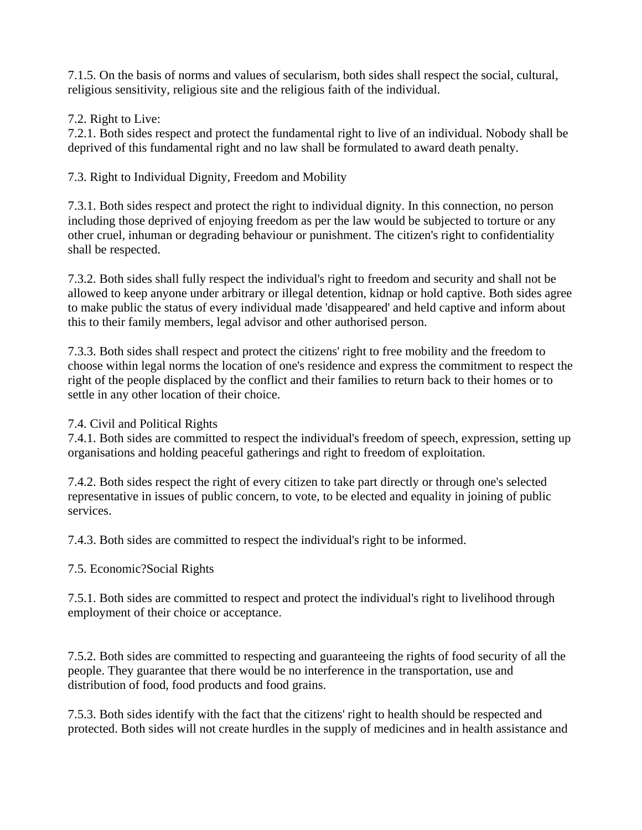7.1.5. On the basis of norms and values of secularism, both sides shall respect the social, cultural, religious sensitivity, religious site and the religious faith of the individual.

# 7.2. Right to Live:

7.2.1. Both sides respect and protect the fundamental right to live of an individual. Nobody shall be deprived of this fundamental right and no law shall be formulated to award death penalty.

7.3. Right to Individual Dignity, Freedom and Mobility

7.3.1. Both sides respect and protect the right to individual dignity. In this connection, no person including those deprived of enjoying freedom as per the law would be subjected to torture or any other cruel, inhuman or degrading behaviour or punishment. The citizen's right to confidentiality shall be respected.

7.3.2. Both sides shall fully respect the individual's right to freedom and security and shall not be allowed to keep anyone under arbitrary or illegal detention, kidnap or hold captive. Both sides agree to make public the status of every individual made 'disappeared' and held captive and inform about this to their family members, legal advisor and other authorised person.

7.3.3. Both sides shall respect and protect the citizens' right to free mobility and the freedom to choose within legal norms the location of one's residence and express the commitment to respect the right of the people displaced by the conflict and their families to return back to their homes or to settle in any other location of their choice.

# 7.4. Civil and Political Rights

7.4.1. Both sides are committed to respect the individual's freedom of speech, expression, setting up organisations and holding peaceful gatherings and right to freedom of exploitation.

7.4.2. Both sides respect the right of every citizen to take part directly or through one's selected representative in issues of public concern, to vote, to be elected and equality in joining of public services.

7.4.3. Both sides are committed to respect the individual's right to be informed.

# 7.5. Economic?Social Rights

7.5.1. Both sides are committed to respect and protect the individual's right to livelihood through employment of their choice or acceptance.

7.5.2. Both sides are committed to respecting and guaranteeing the rights of food security of all the people. They guarantee that there would be no interference in the transportation, use and distribution of food, food products and food grains.

7.5.3. Both sides identify with the fact that the citizens' right to health should be respected and protected. Both sides will not create hurdles in the supply of medicines and in health assistance and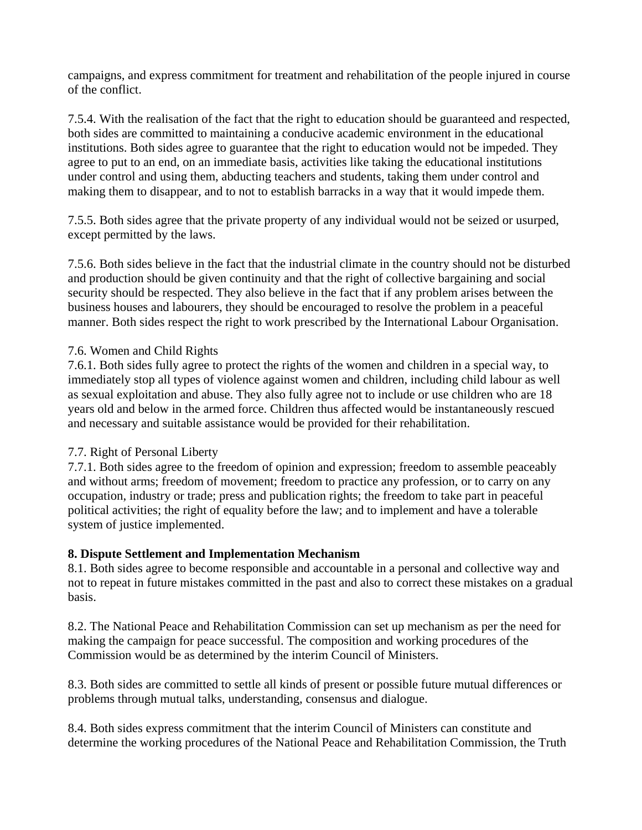campaigns, and express commitment for treatment and rehabilitation of the people injured in course of the conflict.

7.5.4. With the realisation of the fact that the right to education should be guaranteed and respected, both sides are committed to maintaining a conducive academic environment in the educational institutions. Both sides agree to guarantee that the right to education would not be impeded. They agree to put to an end, on an immediate basis, activities like taking the educational institutions under control and using them, abducting teachers and students, taking them under control and making them to disappear, and to not to establish barracks in a way that it would impede them.

7.5.5. Both sides agree that the private property of any individual would not be seized or usurped, except permitted by the laws.

7.5.6. Both sides believe in the fact that the industrial climate in the country should not be disturbed and production should be given continuity and that the right of collective bargaining and social security should be respected. They also believe in the fact that if any problem arises between the business houses and labourers, they should be encouraged to resolve the problem in a peaceful manner. Both sides respect the right to work prescribed by the International Labour Organisation.

### 7.6. Women and Child Rights

7.6.1. Both sides fully agree to protect the rights of the women and children in a special way, to immediately stop all types of violence against women and children, including child labour as well as sexual exploitation and abuse. They also fully agree not to include or use children who are 18 years old and below in the armed force. Children thus affected would be instantaneously rescued and necessary and suitable assistance would be provided for their rehabilitation.

### 7.7. Right of Personal Liberty

7.7.1. Both sides agree to the freedom of opinion and expression; freedom to assemble peaceably and without arms; freedom of movement; freedom to practice any profession, or to carry on any occupation, industry or trade; press and publication rights; the freedom to take part in peaceful political activities; the right of equality before the law; and to implement and have a tolerable system of justice implemented.

#### **8. Dispute Settlement and Implementation Mechanism**

8.1. Both sides agree to become responsible and accountable in a personal and collective way and not to repeat in future mistakes committed in the past and also to correct these mistakes on a gradual basis.

8.2. The National Peace and Rehabilitation Commission can set up mechanism as per the need for making the campaign for peace successful. The composition and working procedures of the Commission would be as determined by the interim Council of Ministers.

8.3. Both sides are committed to settle all kinds of present or possible future mutual differences or problems through mutual talks, understanding, consensus and dialogue.

8.4. Both sides express commitment that the interim Council of Ministers can constitute and determine the working procedures of the National Peace and Rehabilitation Commission, the Truth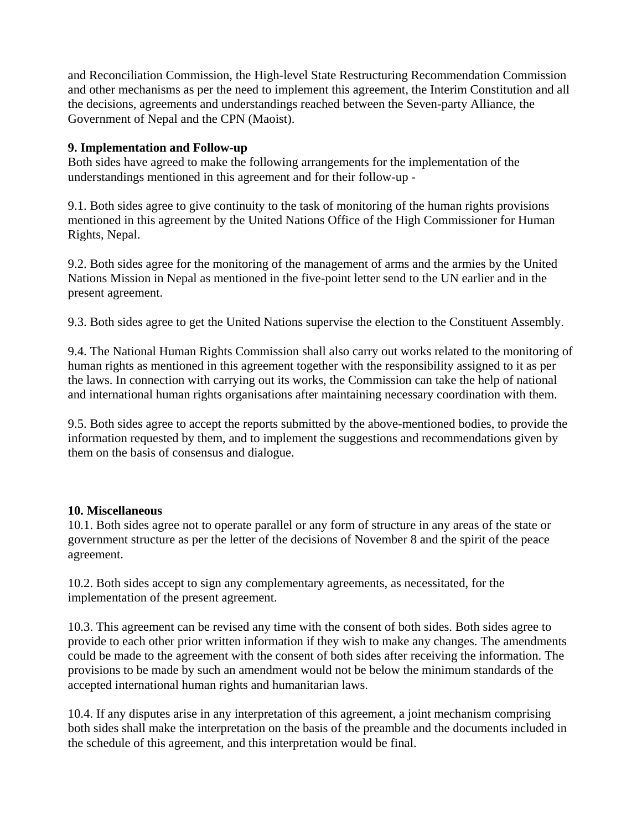and Reconciliation Commission, the High-level State Restructuring Recommendation Commission and other mechanisms as per the need to implement this agreement, the Interim Constitution and all the decisions, agreements and understandings reached between the Seven-party Alliance, the Government of Nepal and the CPN (Maoist).

### **9. Implementation and Follow-up**

Both sides have agreed to make the following arrangements for the implementation of the understandings mentioned in this agreement and for their follow-up -

9.1. Both sides agree to give continuity to the task of monitoring of the human rights provisions mentioned in this agreement by the United Nations Office of the High Commissioner for Human Rights, Nepal.

9.2. Both sides agree for the monitoring of the management of arms and the armies by the United Nations Mission in Nepal as mentioned in the five-point letter send to the UN earlier and in the present agreement.

9.3. Both sides agree to get the United Nations supervise the election to the Constituent Assembly.

9.4. The National Human Rights Commission shall also carry out works related to the monitoring of human rights as mentioned in this agreement together with the responsibility assigned to it as per the laws. In connection with carrying out its works, the Commission can take the help of national and international human rights organisations after maintaining necessary coordination with them.

9.5. Both sides agree to accept the reports submitted by the above-mentioned bodies, to provide the information requested by them, and to implement the suggestions and recommendations given by them on the basis of consensus and dialogue.

### **10. Miscellaneous**

10.1. Both sides agree not to operate parallel or any form of structure in any areas of the state or government structure as per the letter of the decisions of November 8 and the spirit of the peace agreement.

10.2. Both sides accept to sign any complementary agreements, as necessitated, for the implementation of the present agreement.

10.3. This agreement can be revised any time with the consent of both sides. Both sides agree to provide to each other prior written information if they wish to make any changes. The amendments could be made to the agreement with the consent of both sides after receiving the information. The provisions to be made by such an amendment would not be below the minimum standards of the accepted international human rights and humanitarian laws.

10.4. If any disputes arise in any interpretation of this agreement, a joint mechanism comprising both sides shall make the interpretation on the basis of the preamble and the documents included in the schedule of this agreement, and this interpretation would be final.